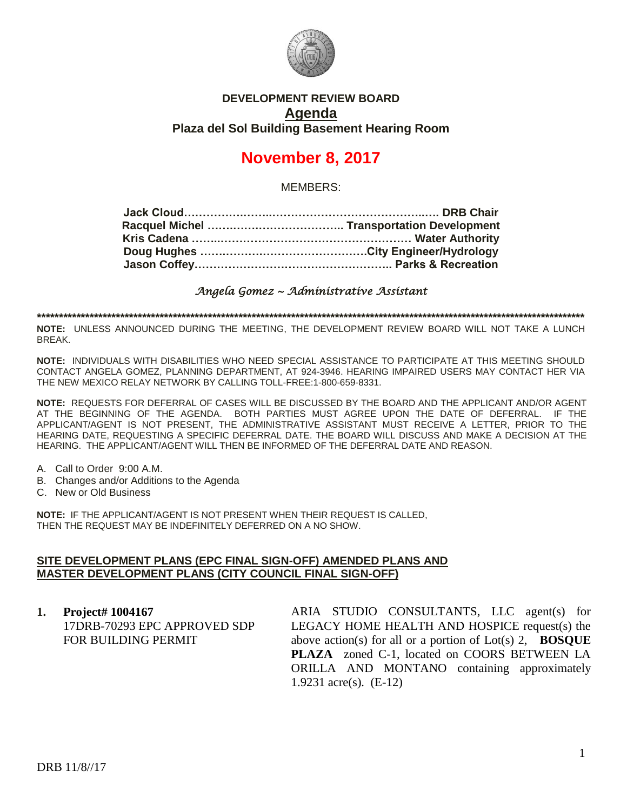

## **DEVELOPMENT REVIEW BOARD Agenda Plaza del Sol Building Basement Hearing Room**

# **November 8, 2017**

MEMBERS:

*Angela Gomez ~ Administrative Assistant* 

**\*\*\*\*\*\*\*\*\*\*\*\*\*\*\*\*\*\*\*\*\*\*\*\*\*\*\*\*\*\*\*\*\*\*\*\*\*\*\*\*\*\*\*\*\*\*\*\*\*\*\*\*\*\*\*\*\*\*\*\*\*\*\*\*\*\*\*\*\*\*\*\*\*\*\*\*\*\*\*\*\*\*\*\*\*\*\*\*\*\*\*\*\*\*\*\*\*\*\*\*\*\*\*\*\*\*\*\*\*\*\*\*\*\*\*\*\*\*\*\*\*\*\*\*\***

**NOTE:** UNLESS ANNOUNCED DURING THE MEETING, THE DEVELOPMENT REVIEW BOARD WILL NOT TAKE A LUNCH BREAK.

**NOTE:** INDIVIDUALS WITH DISABILITIES WHO NEED SPECIAL ASSISTANCE TO PARTICIPATE AT THIS MEETING SHOULD CONTACT ANGELA GOMEZ, PLANNING DEPARTMENT, AT 924-3946. HEARING IMPAIRED USERS MAY CONTACT HER VIA THE NEW MEXICO RELAY NETWORK BY CALLING TOLL-FREE:1-800-659-8331.

**NOTE:** REQUESTS FOR DEFERRAL OF CASES WILL BE DISCUSSED BY THE BOARD AND THE APPLICANT AND/OR AGENT AT THE BEGINNING OF THE AGENDA. BOTH PARTIES MUST AGREE UPON THE DATE OF DEFERRAL. IF THE APPLICANT/AGENT IS NOT PRESENT, THE ADMINISTRATIVE ASSISTANT MUST RECEIVE A LETTER, PRIOR TO THE HEARING DATE, REQUESTING A SPECIFIC DEFERRAL DATE. THE BOARD WILL DISCUSS AND MAKE A DECISION AT THE HEARING. THE APPLICANT/AGENT WILL THEN BE INFORMED OF THE DEFERRAL DATE AND REASON.

- A. Call to Order 9:00 A.M.
- B. Changes and/or Additions to the Agenda
- C. New or Old Business

**NOTE:** IF THE APPLICANT/AGENT IS NOT PRESENT WHEN THEIR REQUEST IS CALLED, THEN THE REQUEST MAY BE INDEFINITELY DEFERRED ON A NO SHOW.

#### **SITE DEVELOPMENT PLANS (EPC FINAL SIGN-OFF) AMENDED PLANS AND MASTER DEVELOPMENT PLANS (CITY COUNCIL FINAL SIGN-OFF)**

**1. Project# 1004167** 17DRB-70293 EPC APPROVED SDP FOR BUILDING PERMIT

ARIA STUDIO CONSULTANTS, LLC agent(s) for LEGACY HOME HEALTH AND HOSPICE request(s) the above action(s) for all or a portion of Lot(s) 2, **BOSQUE PLAZA** zoned C-1, located on COORS BETWEEN LA ORILLA AND MONTANO containing approximately 1.9231 acre(s). (E-12)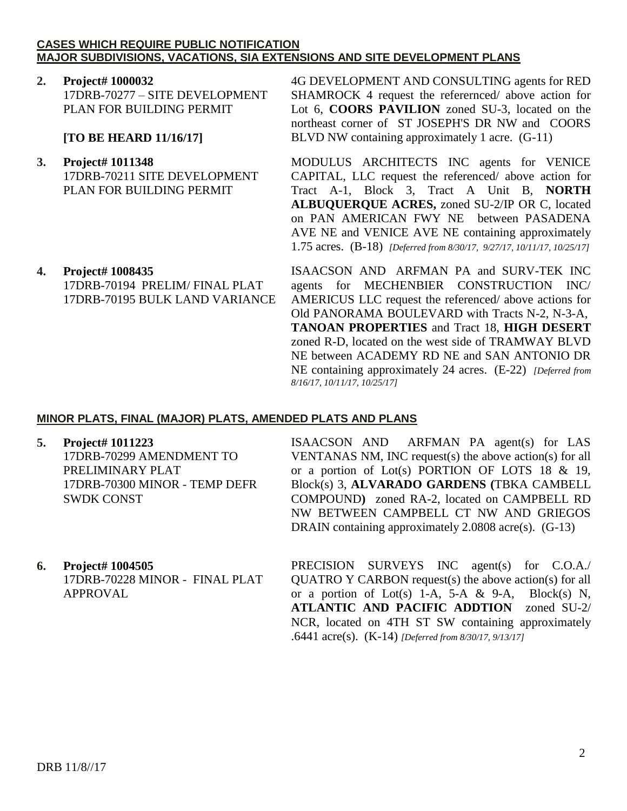### **CASES WHICH REQUIRE PUBLIC NOTIFICATION MAJOR SUBDIVISIONS, VACATIONS, SIA EXTENSIONS AND SITE DEVELOPMENT PLANS**

**2. Project# 1000032** 17DRB-70277 – SITE DEVELOPMENT PLAN FOR BUILDING PERMIT

## **[TO BE HEARD 11/16/17]**

- **3. Project# 1011348** 17DRB-70211 SITE DEVELOPMENT PLAN FOR BUILDING PERMIT
- **4. Project# 1008435** 17DRB-70194 PRELIM/ FINAL PLAT 17DRB-70195 BULK LAND VARIANCE

4G DEVELOPMENT AND CONSULTING agents for RED SHAMROCK 4 request the referernced/ above action for Lot 6, **COORS PAVILION** zoned SU-3, located on the northeast corner of ST JOSEPH'S DR NW and COORS BLVD NW containing approximately 1 acre. (G-11)

MODULUS ARCHITECTS INC agents for VENICE CAPITAL, LLC request the referenced/ above action for Tract A-1, Block 3, Tract A Unit B, **NORTH ALBUQUERQUE ACRES,** zoned SU-2/IP OR C, located on PAN AMERICAN FWY NE between PASADENA AVE NE and VENICE AVE NE containing approximately 1.75 acres. (B-18) *[Deferred from 8/30/17, 9/27/17, 10/11/17, 10/25/17]*

ISAACSON AND ARFMAN PA and SURV-TEK INC agents for MECHENBIER CONSTRUCTION INC/ AMERICUS LLC request the referenced/ above actions for Old PANORAMA BOULEVARD with Tracts N-2, N-3-A, **TANOAN PROPERTIES** and Tract 18, **HIGH DESERT** zoned R-D, located on the west side of TRAMWAY BLVD NE between ACADEMY RD NE and SAN ANTONIO DR NE containing approximately 24 acres. (E-22) *[Deferred from 8/16/17, 10/11/17, 10/25/17]*

## **MINOR PLATS, FINAL (MAJOR) PLATS, AMENDED PLATS AND PLANS**

**5. Project# 1011223**

17DRB-70299 AMENDMENT TO PRELIMINARY PLAT 17DRB-70300 MINOR - TEMP DEFR SWDK CONST

**6. Project# 1004505** 17DRB-70228 MINOR - FINAL PLAT APPROVAL

ISAACSON AND ARFMAN PA agent(s) for LAS VENTANAS NM, INC request(s) the above action(s) for all or a portion of Lot(s) PORTION OF LOTS 18 & 19, Block(s) 3, **ALVARADO GARDENS (**TBKA CAMBELL COMPOUND**)** zoned RA-2, located on CAMPBELL RD NW BETWEEN CAMPBELL CT NW AND GRIEGOS DRAIN containing approximately 2.0808 acre(s). (G-13)

PRECISION SURVEYS INC agent(s) for C.O.A./ QUATRO Y CARBON request(s) the above action(s) for all or a portion of Lot(s) 1-A, 5-A & 9-A, Block(s) N, **ATLANTIC AND PACIFIC ADDTION** zoned SU-2/ NCR, located on 4TH ST SW containing approximately .6441 acre(s). (K-14) *[Deferred from 8/30/17, 9/13/17]*